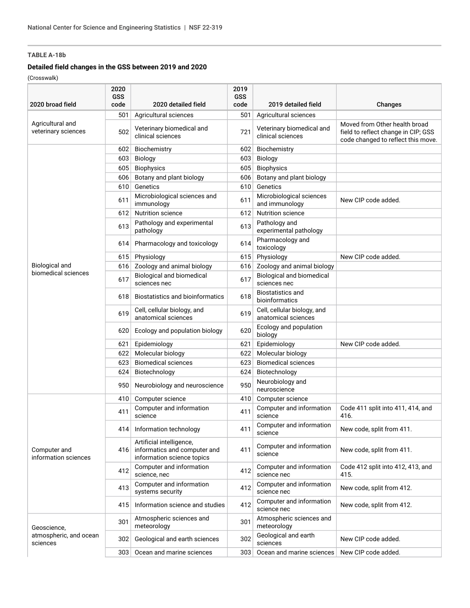## **Detailed field changes in the GSS between 2019 and 2020**

| 2020 broad field                                  | 2020<br>GSS<br>code | 2020 detailed field                                                                    | 2019<br><b>GSS</b><br>code | 2019 detailed field                                | Changes                                                                                                    |
|---------------------------------------------------|---------------------|----------------------------------------------------------------------------------------|----------------------------|----------------------------------------------------|------------------------------------------------------------------------------------------------------------|
|                                                   | 501                 | Agricultural sciences                                                                  | 501                        | Agricultural sciences                              |                                                                                                            |
| Agricultural and<br>veterinary sciences           | 502                 | Veterinary biomedical and<br>clinical sciences                                         | 721                        | Veterinary biomedical and<br>clinical sciences     | Moved from Other health broad<br>field to reflect change in CIP; GSS<br>code changed to reflect this move. |
|                                                   | 602                 | Biochemistry                                                                           | 602                        | Biochemistry                                       |                                                                                                            |
|                                                   | 603                 | <b>Biology</b>                                                                         | 603                        | <b>Biology</b>                                     |                                                                                                            |
|                                                   | 605                 | <b>Biophysics</b>                                                                      | 605                        | <b>Biophysics</b>                                  |                                                                                                            |
|                                                   | 606                 | Botany and plant biology                                                               | 606                        | Botany and plant biology                           |                                                                                                            |
|                                                   | 610                 | Genetics                                                                               | 610                        | Genetics                                           |                                                                                                            |
|                                                   | 611                 | Microbiological sciences and<br>immunology                                             | 611                        | Microbiological sciences<br>and immunology         | New CIP code added.                                                                                        |
|                                                   | 612                 | <b>Nutrition science</b>                                                               | 612                        | <b>Nutrition science</b>                           |                                                                                                            |
|                                                   | 613                 | Pathology and experimental<br>pathology                                                | 613                        | Pathology and<br>experimental pathology            |                                                                                                            |
|                                                   | 614                 | Pharmacology and toxicology                                                            | 614                        | Pharmacology and<br>toxicology                     |                                                                                                            |
|                                                   | 615                 | Physiology                                                                             | 615                        | Physiology                                         | New CIP code added.                                                                                        |
| <b>Biological and</b>                             | 616                 | Zoology and animal biology                                                             | 616                        | Zoology and animal biology                         |                                                                                                            |
| biomedical sciences                               | 617                 | <b>Biological and biomedical</b><br>sciences nec                                       | 617                        | Biological and biomedical<br>sciences nec          |                                                                                                            |
|                                                   | 618                 | <b>Biostatistics and bioinformatics</b>                                                | 618                        | <b>Biostatistics and</b><br>bioinformatics         |                                                                                                            |
|                                                   | 619                 | Cell, cellular biology, and<br>anatomical sciences                                     | 619                        | Cell, cellular biology, and<br>anatomical sciences |                                                                                                            |
|                                                   | 620                 | Ecology and population biology                                                         | 620                        | Ecology and population<br>biology                  |                                                                                                            |
|                                                   | 621                 | Epidemiology                                                                           | 621                        | Epidemiology                                       | New CIP code added.                                                                                        |
|                                                   | 622                 | Molecular biology                                                                      | 622                        | Molecular biology                                  |                                                                                                            |
|                                                   | 623                 | <b>Biomedical sciences</b>                                                             | 623                        | <b>Biomedical sciences</b>                         |                                                                                                            |
|                                                   | 624                 | Biotechnology                                                                          | 624                        | Biotechnology                                      |                                                                                                            |
|                                                   | 950                 | Neurobiology and neuroscience                                                          | 950                        | Neurobiology and<br>neuroscience                   |                                                                                                            |
|                                                   | 410                 | Computer science                                                                       | 410                        | Computer science                                   |                                                                                                            |
| Computer and<br>information sciences              | 411                 | Computer and information<br>science                                                    | 411                        | Computer and information<br>science                | Code 411 split into 411, 414, and<br>416.                                                                  |
|                                                   |                     | 414 Information technology                                                             | 411                        | Computer and information<br>science                | New code, split from 411.                                                                                  |
|                                                   | 416                 | Artificial intelligence,<br>informatics and computer and<br>information science topics | 411                        | Computer and information<br>science                | New code, split from 411.                                                                                  |
|                                                   | 412                 | Computer and information<br>science, nec                                               | 412                        | Computer and information<br>science nec            | Code 412 split into 412, 413, and<br>415.                                                                  |
|                                                   | 413                 | Computer and information<br>systems security                                           | 412                        | Computer and information<br>science nec            | New code, split from 412.                                                                                  |
|                                                   | 415                 | Information science and studies                                                        | 412                        | Computer and information<br>science nec            | New code, split from 412.                                                                                  |
| Geoscience,<br>atmospheric, and ocean<br>sciences | 301                 | Atmospheric sciences and<br>meteorology                                                | 301                        | Atmospheric sciences and<br>meteorology            |                                                                                                            |
|                                                   | 302                 | Geological and earth sciences                                                          | 302                        | Geological and earth<br>sciences                   | New CIP code added.                                                                                        |
|                                                   | 303                 | Ocean and marine sciences                                                              | 303                        | Ocean and marine sciences                          | New CIP code added.                                                                                        |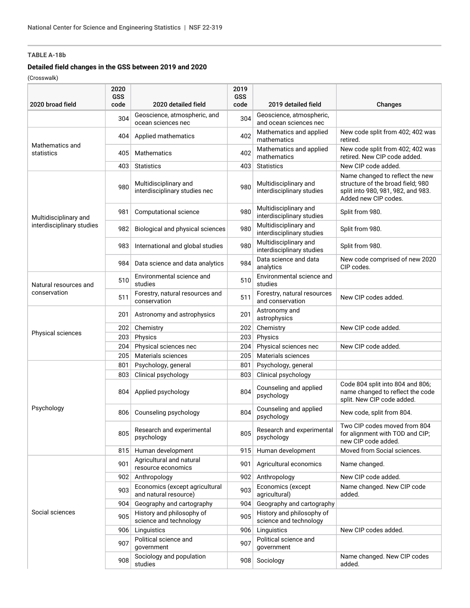#### **Detailed field changes in the GSS between 2019 and 2020**

| 2020 broad field                      | 2020<br><b>GSS</b><br>code | 2020 detailed field                                     | 2019<br><b>GSS</b><br>code | 2019 detailed field                                 | Changes                                                                                                                            |
|---------------------------------------|----------------------------|---------------------------------------------------------|----------------------------|-----------------------------------------------------|------------------------------------------------------------------------------------------------------------------------------------|
|                                       | 304                        | Geoscience, atmospheric, and<br>ocean sciences nec      | 304                        | Geoscience, atmospheric,<br>and ocean sciences nec  |                                                                                                                                    |
| Mathematics and<br>statistics         | 404                        | Applied mathematics                                     | 402                        | Mathematics and applied<br>mathematics              | New code split from 402; 402 was<br>retired.                                                                                       |
|                                       | 405                        | <b>Mathematics</b>                                      | 402                        | Mathematics and applied<br>mathematics              | New code split from 402; 402 was<br>retired. New CIP code added.                                                                   |
|                                       | 403                        | <b>Statistics</b>                                       | 403                        | <b>Statistics</b>                                   | New CIP code added.                                                                                                                |
|                                       | 980                        | Multidisciplinary and<br>interdisciplinary studies nec  | 980                        | Multidisciplinary and<br>interdisciplinary studies  | Name changed to reflect the new<br>structure of the broad field; 980<br>split into 980, 981, 982, and 983.<br>Added new CIP codes. |
| Multidisciplinary and                 | 981                        | Computational science                                   | 980                        | Multidisciplinary and<br>interdisciplinary studies  | Split from 980.                                                                                                                    |
| interdisciplinary studies             | 982                        | Biological and physical sciences                        | 980                        | Multidisciplinary and<br>interdisciplinary studies  | Split from 980.                                                                                                                    |
|                                       | 983                        | International and global studies                        | 980                        | Multidisciplinary and<br>interdisciplinary studies  | Split from 980.                                                                                                                    |
|                                       | 984                        | Data science and data analytics                         | 984                        | Data science and data<br>analytics                  | New code comprised of new 2020<br>CIP codes.                                                                                       |
| Natural resources and<br>conservation | 510                        | Environmental science and<br>studies                    | 510                        | Environmental science and<br>studies                |                                                                                                                                    |
|                                       | 511                        | Forestry, natural resources and<br>conservation         | 511                        | Forestry, natural resources<br>and conservation     | New CIP codes added.                                                                                                               |
|                                       | 201                        | Astronomy and astrophysics                              | 201                        | Astronomy and<br>astrophysics                       |                                                                                                                                    |
|                                       | 202                        | Chemistry                                               | 202                        | Chemistry                                           | New CIP code added.                                                                                                                |
| Physical sciences                     | 203                        | Physics                                                 | 203                        | Physics                                             |                                                                                                                                    |
|                                       | 204                        | Physical sciences nec                                   | 204                        | Physical sciences nec                               | New CIP code added.                                                                                                                |
|                                       | 205                        | Materials sciences                                      | 205                        | <b>Materials sciences</b>                           |                                                                                                                                    |
|                                       | 801                        | Psychology, general                                     | 801                        | Psychology, general                                 |                                                                                                                                    |
|                                       | 803                        | Clinical psychology                                     | 803                        | Clinical psychology                                 |                                                                                                                                    |
|                                       | 804                        | Applied psychology                                      | 804                        | Counseling and applied<br>psychology                | Code 804 split into 804 and 806;<br>name changed to reflect the code<br>split. New CIP code added.                                 |
| Psychology                            | 806                        | Counseling psychology                                   | 804                        | Counseling and applied<br>psychology                | New code, split from 804.                                                                                                          |
|                                       | 805                        | Research and experimental<br>psychology                 | 805                        | Research and experimental<br>psychology             | Two CIP codes moved from 804<br>for alignment with TOD and CIP;<br>new CIP code added.                                             |
|                                       | 815                        | Human development                                       | 915                        | Human development                                   | Moved from Social sciences.                                                                                                        |
| Social sciences                       | 901                        | Agricultural and natural<br>resource economics          | 901                        | Agricultural economics                              | Name changed.                                                                                                                      |
|                                       | 902                        | Anthropology                                            | 902                        | Anthropology                                        | New CIP code added.                                                                                                                |
|                                       | 903                        | Economics (except agricultural<br>and natural resource) | 903                        | Economics (except<br>agricultural)                  | Name changed. New CIP code<br>added.                                                                                               |
|                                       | 904                        | Geography and cartography                               | 904                        | Geography and cartography                           |                                                                                                                                    |
|                                       | 905                        | History and philosophy of<br>science and technology     | 905                        | History and philosophy of<br>science and technology |                                                                                                                                    |
|                                       | 906                        | Linguistics                                             | 906                        | Linguistics                                         | New CIP codes added.                                                                                                               |
|                                       | 907                        | Political science and<br>government                     | 907                        | Political science and<br>government                 |                                                                                                                                    |
|                                       | 908                        | Sociology and population<br>studies                     | 908                        | Sociology                                           | Name changed. New CIP codes<br>added.                                                                                              |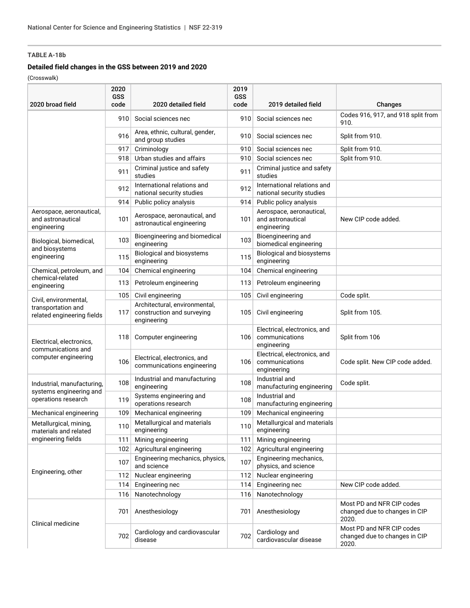#### **Detailed field changes in the GSS between 2019 and 2020**

|                                                                        | 2020<br><b>GSS</b> |                                                                            | 2019<br><b>GSS</b> |                                                               |                                                                     |
|------------------------------------------------------------------------|--------------------|----------------------------------------------------------------------------|--------------------|---------------------------------------------------------------|---------------------------------------------------------------------|
| 2020 broad field                                                       | code               | 2020 detailed field                                                        | code               | 2019 detailed field                                           | Changes                                                             |
|                                                                        | 910                | Social sciences nec                                                        | 910                | Social sciences nec                                           | Codes 916, 917, and 918 split from<br>910.                          |
|                                                                        | 916                | Area, ethnic, cultural, gender,<br>and group studies                       | 910                | Social sciences nec                                           | Split from 910.                                                     |
|                                                                        | 917                | Criminology                                                                | 910                | Social sciences nec                                           | Split from 910.                                                     |
|                                                                        | 918                | Urban studies and affairs                                                  | 910                | Social sciences nec                                           | Split from 910.                                                     |
|                                                                        | 911                | Criminal justice and safety<br>studies                                     | 911                | Criminal justice and safety<br>studies                        |                                                                     |
|                                                                        | 912                | International relations and<br>national security studies                   | 912                | International relations and<br>national security studies      |                                                                     |
|                                                                        | 914                | Public policy analysis                                                     | 914                | Public policy analysis                                        |                                                                     |
| Aerospace, aeronautical,<br>and astronautical<br>engineering           | 101                | Aerospace, aeronautical, and<br>astronautical engineering                  | 101                | Aerospace, aeronautical,<br>and astronautical<br>engineering  | New CIP code added.                                                 |
| Biological, biomedical,<br>and biosystems                              | 103                | Bioengineering and biomedical<br>engineering                               | 103                | Bioengineering and<br>biomedical engineering                  |                                                                     |
| engineering                                                            | 115                | <b>Biological and biosystems</b><br>engineering                            | 115                | <b>Biological and biosystems</b><br>engineering               |                                                                     |
| Chemical, petroleum, and                                               | 104                | Chemical engineering                                                       | 104                | Chemical engineering                                          |                                                                     |
| chemical-related<br>engineering                                        | 113                | Petroleum engineering                                                      | 113                | Petroleum engineering                                         |                                                                     |
| Civil, environmental,                                                  | 105                | Civil engineering                                                          | 105                | Civil engineering                                             | Code split.                                                         |
| transportation and<br>related engineering fields                       | 117                | Architectural, environmental,<br>construction and surveying<br>engineering | 105                | Civil engineering                                             | Split from 105.                                                     |
| Electrical, electronics,<br>communications and<br>computer engineering | 118                | Computer engineering                                                       | 106                | Electrical, electronics, and<br>communications<br>engineering | Split from 106                                                      |
|                                                                        | 106                | Electrical, electronics, and<br>communications engineering                 | 106                | Electrical, electronics, and<br>communications<br>engineering | Code split. New CIP code added.                                     |
| Industrial, manufacturing,                                             | 108                | Industrial and manufacturing<br>engineering                                | 108                | Industrial and<br>manufacturing engineering                   | Code split.                                                         |
| systems engineering and<br>operations research                         | 119                | Systems engineering and<br>operations research                             | 108                | Industrial and<br>manufacturing engineering                   |                                                                     |
| Mechanical engineering                                                 | 109                | Mechanical engineering                                                     | 109                | Mechanical engineering                                        |                                                                     |
| Metallurgical, mining,<br>materials and related                        | 110                | Metallurgical and materials<br>engineering                                 | 110                | Metallurgical and materials<br>engineering                    |                                                                     |
| engineering fields                                                     | 111                | Mining engineering                                                         | 111                | Mining engineering                                            |                                                                     |
| Engineering, other                                                     | 102                | Agricultural engineering                                                   | 102                | Agricultural engineering                                      |                                                                     |
|                                                                        | 107                | Engineering mechanics, physics,<br>and science                             | 107                | Engineering mechanics,<br>physics, and science                |                                                                     |
|                                                                        | 112                | Nuclear engineering                                                        | 112                | Nuclear engineering                                           |                                                                     |
|                                                                        | 114                | Engineering nec                                                            | 114                | Engineering nec                                               | New CIP code added.                                                 |
|                                                                        | 116                | Nanotechnology                                                             | 116                | Nanotechnology                                                |                                                                     |
| Clinical medicine                                                      | 701                | Anesthesiology                                                             | 701                | Anesthesiology                                                | Most PD and NFR CIP codes<br>changed due to changes in CIP<br>2020. |
|                                                                        | 702                | Cardiology and cardiovascular<br>disease                                   | 702                | Cardiology and<br>cardiovascular disease                      | Most PD and NFR CIP codes<br>changed due to changes in CIP<br>2020. |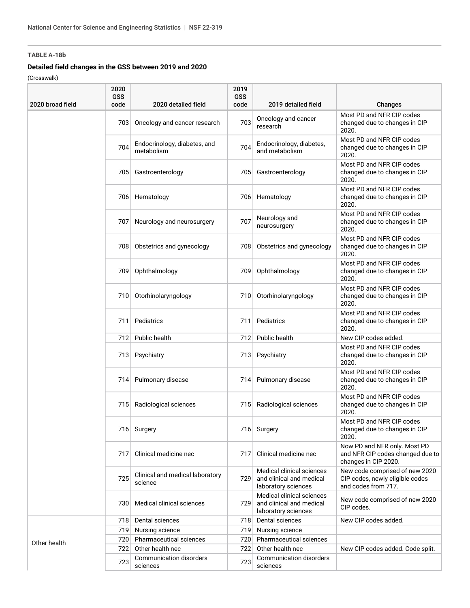## **Detailed field changes in the GSS between 2019 and 2020**

| 2020 broad field | 2020<br><b>GSS</b><br>code | 2020 detailed field                        | 2019<br><b>GSS</b><br>code | 2019 detailed field                                                          | Changes                                                                                  |
|------------------|----------------------------|--------------------------------------------|----------------------------|------------------------------------------------------------------------------|------------------------------------------------------------------------------------------|
|                  | 703                        | Oncology and cancer research               | 703                        | Oncology and cancer<br>research                                              | Most PD and NFR CIP codes<br>changed due to changes in CIP<br>2020.                      |
|                  | 704                        | Endocrinology, diabetes, and<br>metabolism | 704                        | Endocrinology, diabetes,<br>and metabolism                                   | Most PD and NFR CIP codes<br>changed due to changes in CIP<br>2020.                      |
|                  | 705                        | Gastroenterology                           | 705                        | Gastroenterology                                                             | Most PD and NFR CIP codes<br>changed due to changes in CIP<br>2020.                      |
|                  |                            | 706 Hematology                             | 706                        | Hematology                                                                   | Most PD and NFR CIP codes<br>changed due to changes in CIP<br>2020.                      |
|                  | 707                        | Neurology and neurosurgery                 | 707                        | Neurology and<br>neurosurgery                                                | Most PD and NFR CIP codes<br>changed due to changes in CIP<br>2020.                      |
|                  | 708                        | Obstetrics and gynecology                  | 708                        | Obstetrics and gynecology                                                    | Most PD and NFR CIP codes<br>changed due to changes in CIP<br>2020.                      |
|                  | 709                        | Ophthalmology                              | 709                        | Ophthalmology                                                                | Most PD and NFR CIP codes<br>changed due to changes in CIP<br>2020.                      |
|                  | 710                        | Otorhinolaryngology                        | 710                        | Otorhinolaryngology                                                          | Most PD and NFR CIP codes<br>changed due to changes in CIP<br>2020.                      |
|                  | 711                        | Pediatrics                                 | 711                        | Pediatrics                                                                   | Most PD and NFR CIP codes<br>changed due to changes in CIP<br>2020.                      |
|                  |                            | 712 Public health                          |                            | 712 Public health                                                            | New CIP codes added.                                                                     |
|                  |                            | 713 Psychiatry                             |                            | 713 Psychiatry                                                               | Most PD and NFR CIP codes<br>changed due to changes in CIP<br>2020.                      |
|                  | 714                        | Pulmonary disease                          | 714                        | Pulmonary disease                                                            | Most PD and NFR CIP codes<br>changed due to changes in CIP<br>2020.                      |
|                  | 715                        | Radiological sciences                      | 715                        | Radiological sciences                                                        | Most PD and NFR CIP codes<br>changed due to changes in CIP<br>2020.                      |
|                  |                            | 716 Surgery                                |                            | 716 Surgery                                                                  | Most PD and NFR CIP codes<br>changed due to changes in CIP<br>2020.                      |
|                  | 717                        | Clinical medicine nec                      | 717                        | Clinical medicine nec                                                        | Now PD and NFR only. Most PD<br>and NFR CIP codes changed due to<br>changes in CIP 2020. |
|                  | 725                        | Clinical and medical laboratory<br>science | 729                        | Medical clinical sciences<br>and clinical and medical<br>laboratory sciences | New code comprised of new 2020<br>CIP codes, newly eligible codes<br>and codes from 717. |
|                  | 730                        | Medical clinical sciences                  | 729                        | Medical clinical sciences<br>and clinical and medical<br>laboratory sciences | New code comprised of new 2020<br>CIP codes.                                             |
|                  | 718                        | Dental sciences                            | 718                        | Dental sciences                                                              | New CIP codes added.                                                                     |
|                  | 719                        | Nursing science                            | 719                        | Nursing science                                                              |                                                                                          |
| Other health     |                            | 720 Pharmaceutical sciences                | 720                        | Pharmaceutical sciences                                                      |                                                                                          |
|                  | 722                        | Other health nec                           | 722                        | Other health nec                                                             | New CIP codes added. Code split.                                                         |
|                  | 723                        | Communication disorders<br>sciences        | 723                        | Communication disorders<br>sciences                                          |                                                                                          |